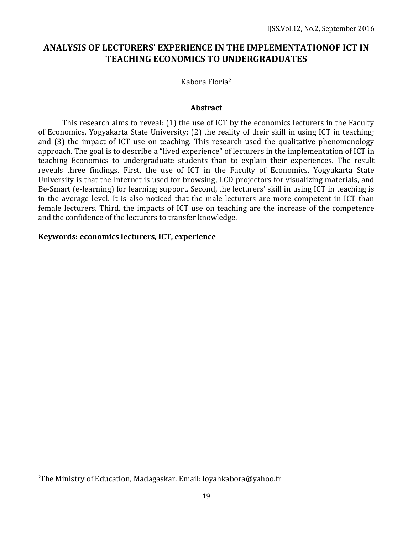# **ANALYSIS OF LECTURERS' EXPERIENCE IN THE IMPLEMENTATIONOF ICT IN TEACHING ECONOMICS TO UNDERGRADUATES**

Kabora Floria<sup>2</sup>

#### **Abstract**

This research aims to reveal: (1) the use of ICT by the economics lecturers in the Faculty of Economics, Yogyakarta State University; (2) the reality of their skill in using ICT in teaching; and (3) the impact of ICT use on teaching. This research used the qualitative phenomenology approach. The goal is to describe a "lived experience" of lecturers in the implementation of ICT in teaching Economics to undergraduate students than to explain their experiences. The result reveals three findings. First, the use of ICT in the Faculty of Economics, Yogyakarta State University is that the Internet is used for browsing, LCD projectors for visualizing materials, and Be-Smart (e-learning) for learning support. Second, the lecturers' skill in using ICT in teaching is in the average level. It is also noticed that the male lecturers are more competent in ICT than female lecturers. Third, the impacts of ICT use on teaching are the increase of the competence and the confidence of the lecturers to transfer knowledge.

#### **Keywords: economics lecturers, ICT, experience**

 $\overline{\phantom{a}}$ 

<sup>2</sup>The Ministry of Education, Madagaskar. Email: loyahkabora@yahoo.fr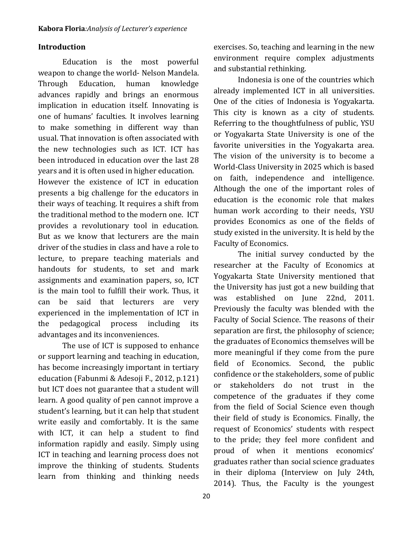## **Introduction**

Education is the most powerful weapon to change the world- Nelson Mandela. Through Education, human knowledge advances rapidly and brings an enormous implication in education itself. Innovating is one of humans' faculties. It involves learning to make something in different way than usual. That innovation is often associated with the new technologies such as ICT. ICT has been introduced in education over the last 28 years and it is often used in higher education.

However the existence of ICT in education presents a big challenge for the educators in their ways of teaching. It requires a shift from the traditional method to the modern one. ICT provides a revolutionary tool in education. But as we know that lecturers are the main driver of the studies in class and have a role to lecture, to prepare teaching materials and handouts for students, to set and mark assignments and examination papers, so, ICT is the main tool to fulfill their work. Thus, it can be said that lecturers are very experienced in the implementation of ICT in the pedagogical process including its advantages and its inconveniences.

The use of ICT is supposed to enhance or support learning and teaching in education, has become increasingly important in tertiary education (Fabunmi & Adesoji F., 2012, p.121) but ICT does not guarantee that a student will learn. A good quality of pen cannot improve a student's learning, but it can help that student write easily and comfortably. It is the same with ICT, it can help a student to find information rapidly and easily. Simply using ICT in teaching and learning process does not improve the thinking of students. Students learn from thinking and thinking needs

exercises. So, teaching and learning in the new environment require complex adjustments and substantial rethinking.

Indonesia is one of the countries which already implemented ICT in all universities. One of the cities of Indonesia is Yogyakarta. This city is known as a city of students. Referring to the thoughtfulness of public, YSU or Yogyakarta State University is one of the favorite universities in the Yogyakarta area. The vision of the university is to become a World-Class University in 2025 which is based on faith, independence and intelligence. Although the one of the important roles of education is the economic role that makes human work according to their needs, YSU provides Economics as one of the fields of study existed in the university. It is held by the Faculty of Economics.

The initial survey conducted by the researcher at the Faculty of Economics at Yogyakarta State University mentioned that the University has just got a new building that was established on June 22nd, 2011. Previously the faculty was blended with the Faculty of Social Science. The reasons of their separation are first, the philosophy of science; the graduates of Economics themselves will be more meaningful if they come from the pure field of Economics. Second, the public confidence or the stakeholders, some of public or stakeholders do not trust in the competence of the graduates if they come from the field of Social Science even though their field of study is Economics. Finally, the request of Economics' students with respect to the pride; they feel more confident and proud of when it mentions economics' graduates rather than social science graduates in their diploma (Interview on July 24th, 2014). Thus, the Faculty is the youngest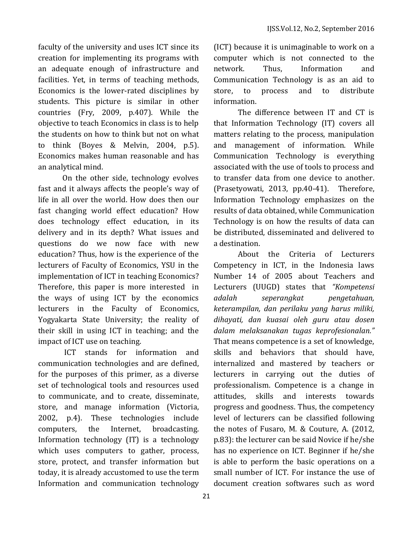faculty of the university and uses ICT since its creation for implementing its programs with an adequate enough of infrastructure and facilities. Yet, in terms of teaching methods, Economics is the lower-rated disciplines by students. This picture is similar in other countries (Fry, 2009, p.407). While the objective to teach Economics in class is to help the students on how to think but not on what to think (Boyes & Melvin, 2004, p.5). Economics makes human reasonable and has an analytical mind.

On the other side, technology evolves fast and it always affects the people's way of life in all over the world. How does then our fast changing world effect education? How does technology effect education, in its delivery and in its depth? What issues and questions do we now face with new education? Thus, how is the experience of the lecturers of Faculty of Economics, YSU in the implementation of ICT in teaching Economics? Therefore, this paper is more interested in the ways of using ICT by the economics lecturers in the Faculty of Economics, Yogyakarta State University; the reality of their skill in using ICT in teaching; and the impact of ICT use on teaching.

ICT stands for information and communication technologies and are defined, for the purposes of this primer, as a diverse set of technological tools and resources used to communicate, and to create, disseminate, store, and manage information (Victoria, 2002, p.4). These technologies include computers, the Internet, broadcasting. Information technology (IT) is a technology which uses computers to gather, process, store, protect, and transfer information but today, it is already accustomed to use the term Information and communication technology

(ICT) because it is unimaginable to work on a computer which is not connected to the network. Thus, Information and Communication Technology is as an aid to store, to process and to distribute information.

The difference between IT and CT is that Information Technology (IT) covers all matters relating to the process, manipulation and management of information. While Communication Technology is everything associated with the use of tools to process and to transfer data from one device to another. (Prasetyowati, 2013, pp.40-41). Therefore, Information Technology emphasizes on the results of data obtained, while Communication Technology is on how the results of data can be distributed, disseminated and delivered to a destination.

About the Criteria of Lecturers Competency in ICT, in the Indonesia laws Number 14 of 2005 about Teachers and Lecturers (UUGD) states that *"Kompetensi adalah seperangkat pengetahuan, keterampilan, dan perilaku yang harus miliki, dihayati, dan kuasai oleh guru atau dosen dalam melaksanakan tugas keprofesionalan."* That means competence is a set of knowledge, skills and behaviors that should have, internalized and mastered by teachers or lecturers in carrying out the duties of professionalism. Competence is a change in attitudes, skills and interests towards progress and goodness. Thus, the competency level of lecturers can be classified following the notes of Fusaro, M. & Couture, A. (2012, p.83): the lecturer can be said Novice if he/she has no experience on ICT. Beginner if he/she is able to perform the basic operations on a small number of ICT. For instance the use of document creation softwares such as word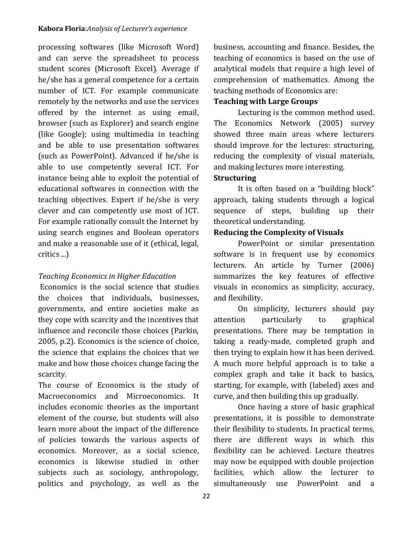processing softwares (like Microsoft Word) and can serve the spreadsheet to process student scores (Microsoft Excel). Average if he/she has a general competence for a certain number of ICT. For example communicate remotely by the networks and use the services offered by the internet as using email, browser (such as Explorer) and search engine (like Google); using multimedia in teaching and be able to use presentation softwares (such as PowerPoint). Advanced if he/she is able to use competently several ICT. For instance being able to exploit the potential of educational softwares in connection with the teaching objectives. Expert if he/she is very clever and can competently use most of ICT. For example rationally consult the Internet by using search engines and Boolean operators and make a reasonable use of it (ethical, legal, critics ...)

# *Teaching Economics in Higher Education*

Economics is the social science that studies the choices that individuals, businesses, governments, and entire societies make as they cope with scarcity and the incentives that influence and reconcile those choices (Parkin, 2005, p.2). Economics is the science of choice, the science that explains the choices that we make and how those choices change facing the scarcity.

The course of Economics is the study of Macroeconomics and Microeconomics. It includes economic theories as the important element of the course, but students will also learn more about the impact of the difference of policies towards the various aspects of economics. Moreover, as a social science, economics is likewise studied in other subjects such as sociology, anthropology, politics and psychology, as well as the

business, accounting and finance. Besides, the teaching of economics is based on the use of analytical models that require a high level of comprehension of mathematics. Among the teaching methods of Economics are:

## **Teaching with Large Groups**

Lecturing is the common method used. The Economics Network (2005) survey showed three main areas where lecturers should improve for the lectures: structuring, reducing the complexity of visual materials, and making lectures more interesting.

# **Structuring**

It is often based on a "building block" approach, taking students through a logical sequence of steps, building up their theoretical understanding.

# **Reducing the Complexity of Visuals**

PowerPoint or similar presentation software is in frequent use by economics lecturers. An article by Turner (2006) summarizes the key features of effective visuals in economics as simplicity, accuracy, and flexibility.

On simplicity, lecturers should pay attention particularly to graphical presentations. There may be temptation in taking a ready-made, completed graph and then trying to explain how it has been derived. A much more helpful approach is to take a complex graph and take it back to basics, starting, for example, with (labeled) axes and curve, and then building this up gradually.

Once having a store of basic graphical presentations, it is possible to demonstrate their flexibility to students. In practical terms, there are different ways in which this flexibility can be achieved. Lecture theatres may now be equipped with double projection facilities, which allow the lecturer to simultaneously use PowerPoint and a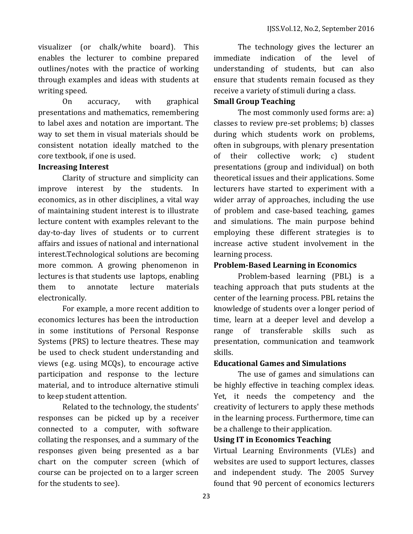visualizer (or chalk/white board). This enables the lecturer to combine prepared outlines/notes with the practice of working through examples and ideas with students at writing speed.

On accuracy, with graphical presentations and mathematics, remembering to label axes and notation are important. The way to set them in visual materials should be consistent notation ideally matched to the core textbook, if one is used.

### **Increasing Interest**

Clarity of structure and simplicity can improve interest by the students. In economics, as in other disciplines, a vital way of maintaining student interest is to illustrate lecture content with examples relevant to the day-to-day lives of students or to current affairs and issues of national and international interest.Technological solutions are becoming more common. A growing phenomenon in lectures is that students use laptops, enabling them to annotate lecture materials electronically.

For example, a more recent addition to economics lectures has been the introduction in some institutions of Personal Response Systems (PRS) to lecture theatres. These may be used to check student understanding and views (e.g. using MCQs), to encourage active participation and response to the lecture material, and to introduce alternative stimuli to keep student attention.

Related to the technology, the students' responses can be picked up by a receiver connected to a computer, with software collating the responses, and a summary of the responses given being presented as a bar chart on the computer screen (which of course can be projected on to a larger screen for the students to see).

The technology gives the lecturer an immediate indication of the level of understanding of students, but can also ensure that students remain focused as they receive a variety of stimuli during a class.

## **Small Group Teaching**

The most commonly used forms are: a) classes to review pre-set problems; b) classes during which students work on problems, often in subgroups, with plenary presentation of their collective work; c) student presentations (group and individual) on both theoretical issues and their applications. Some lecturers have started to experiment with a wider array of approaches, including the use of problem and case-based teaching, games and simulations. The main purpose behind employing these different strategies is to increase active student involvement in the learning process.

## **Problem-Based Learning in Economics**

Problem-based learning (PBL) is a teaching approach that puts students at the center of the learning process. PBL retains the knowledge of students over a longer period of time, learn at a deeper level and develop a range of transferable skills such as presentation, communication and teamwork skills.

### **Educational Games and Simulations**

The use of games and simulations can be highly effective in teaching complex ideas. Yet, it needs the competency and the creativity of lecturers to apply these methods in the learning process. Furthermore, time can be a challenge to their application.

### **Using IT in Economics Teaching**

Virtual Learning Environments (VLEs) and websites are used to support lectures, classes and independent study. The 2005 Survey found that 90 percent of economics lecturers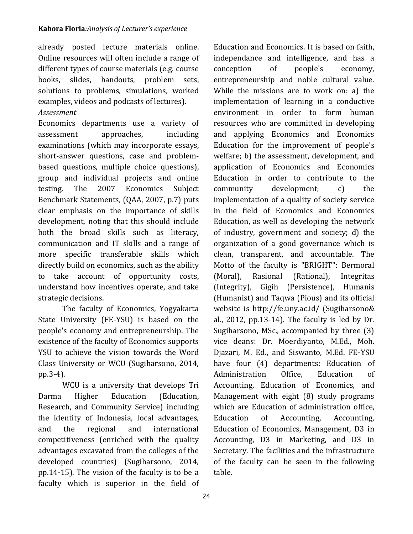already posted lecture materials online. Online resources will often include a range of different types of course materials (e.g. course books, slides, handouts, problem sets, solutions to problems, simulations, worked examples, videos and podcasts of lectures).

## *Assessment*

Economics departments use a variety of assessment approaches, including examinations (which may incorporate essays, short-answer questions, case and problembased questions, multiple choice questions), group and individual projects and online testing. The 2007 Economics Subject Benchmark Statements, (QAA, 2007, p.7) puts clear emphasis on the importance of skills development, noting that this should include both the broad skills such as literacy, communication and IT skills and a range of more specific transferable skills which directly build on economics, such as the ability to take account of opportunity costs, understand how incentives operate, and take strategic decisions.

The faculty of Economics, Yogyakarta State University (FE-YSU) is based on the people's economy and entrepreneurship. The existence of the faculty of Economics supports YSU to achieve the vision towards the Word Class University or WCU (Sugiharsono, 2014, pp.3-4).

WCU is a university that develops Tri Darma Higher Education (Education, Research, and Community Service) including the identity of Indonesia, local advantages, and the regional and international competitiveness (enriched with the quality advantages excavated from the colleges of the developed countries) (Sugiharsono, 2014, pp.14-15). The vision of the faculty is to be a faculty which is superior in the field of

Education and Economics. It is based on faith, independance and intelligence, and has a conception of people's economy, entrepreneurship and noble cultural value. While the missions are to work on: a) the implementation of learning in a conductive environment in order to form human resources who are committed in developing and applying Economics and Economics Education for the improvement of people's welfare; b) the assessment, development, and application of Economics and Economics Education in order to contribute to the community development; c) the implementation of a quality of society service in the field of Economics and Economics Education, as well as developing the network of industry, government and society; d) the organization of a good governance which is clean, transparent, and accountable. The Motto of the faculty is "BRIGHT": Bermoral (Moral), Rasional (Rational), Integritas (Integrity), Gigih (Persistence), Humanis (Humanist) and Taqwa (Pious) and its official website is http://fe.uny.ac.id/ (Sugiharsono& al., 2012, pp.13-14). The faculty is led by Dr. Sugiharsono, MSc., accompanied by three (3) vice deans: Dr. Moerdiyanto, M.Ed., Moh. Djazari, M. Ed., and Siswanto, M.Ed. FE-YSU have four (4) departments: Education of Administration Office, Education of Accounting, Education of Economics, and Management with eight (8) study programs which are Education of administration office, Education of Accounting, Accounting, Education of Economics, Management, D3 in Accounting, D3 in Marketing, and D3 in Secretary. The facilities and the infrastructure of the faculty can be seen in the following table.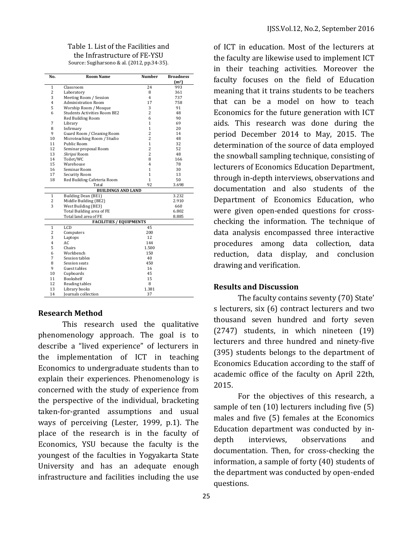## Table 1. List of the Facilities and the Infrastructure of FE-YSU

| No.                            | <b>Room Name</b>                    | <b>Number</b>  | <b>Broadness</b>  |
|--------------------------------|-------------------------------------|----------------|-------------------|
|                                |                                     |                | (m <sup>2</sup> ) |
| $\mathbf{1}$                   | Classroom                           | 24             | 993               |
| 2                              | Laboratory                          | 8              | 361               |
| 3                              | Meeting Room / Session              | $\overline{4}$ | 737               |
| 4                              | <b>Administration Room</b>          | 17             | 758               |
| 5                              | Worship Room / Mosque               | 3              | 91                |
| 6                              | <b>Students Activities Room BE2</b> | $\overline{c}$ | 48                |
|                                | Red Building Room                   | 6              | 90                |
| 7                              | Library                             | 1              | 69                |
| 8                              | Infirmary                           | 1              | 20                |
| 9                              | Guard Room / Cleaning Room          | $\overline{2}$ | 14                |
| 10                             | Microteaching Room / Studio         | $\overline{2}$ | 48                |
| 11                             | Public Room                         | 1              | 32                |
| 12                             | Seminar proposal Room               | $\overline{2}$ | 52                |
| 13                             | Skripsi Room                        | $\overline{2}$ | 48                |
| 14                             | Toilet/WC                           | 8              | 166               |
| 15                             | Warehouse                           | 4              | 78                |
| 16                             | Seminar Room                        | 1              | 30                |
| 17                             | Security Room                       | 1              | 13                |
| 18                             | Red Building Cafeteria Room         | 1              | 50                |
|                                | Total                               | 92             | 3.698             |
| <b>BUILDINGS AND LAND</b>      |                                     |                |                   |
| $\mathbf{1}$                   | Building Dean (BE1)                 |                | 3.232             |
| 2                              | Middle Building (BE2)               |                | 2.910             |
| 3                              | West Building (BE3)                 |                | 660               |
|                                | Total Building area of FE           |                | 6.802             |
|                                | Total land area of FE               |                | 8.885             |
| <b>FACILITIES / EQUIPMENTS</b> |                                     |                |                   |
| $\mathbf{1}$                   | LCD                                 | 45             |                   |
| 2                              | Computers                           | 200            |                   |
| 3                              | Laptops                             | 12             |                   |
| 4                              | AC                                  | 144            |                   |
| 5                              | Chairs                              | 1.500          |                   |
| 6                              | Workbench                           | 150            |                   |
| 7                              | Session tables                      | 40             |                   |
| 8                              | Session seats                       | 450            |                   |
| 9                              | Guest tables                        | 16             |                   |
| 10                             | Cupboards                           | 45             |                   |
| 11                             | Bookshelf                           | 15             |                   |
| 12                             | Reading tables                      | 8              |                   |
| 13                             | Library books                       | 1.381          |                   |
| 14                             | Journals collection                 | 37             |                   |

#### **Research Method**

This research used the qualitative phenomenology approach. The goal is to describe a "lived experience" of lecturers in the implementation of ICT in teaching Economics to undergraduate students than to explain their experiences. Phenomenology is concerned with the study of experience from the perspective of the individual, bracketing taken-for-granted assumptions and usual ways of perceiving (Lester, 1999, p.1). The place of the research is in the faculty of Economics, YSU because the faculty is the youngest of the faculties in Yogyakarta State University and has an adequate enough infrastructure and facilities including the use

of ICT in education. Most of the lecturers at the faculty are likewise used to implement ICT in their teaching activities. Moreover the faculty focuses on the field of Education meaning that it trains students to be teachers that can be a model on how to teach Economics for the future generation with ICT aids. This research was done during the period December 2014 to May, 2015. The determination of the source of data employed the snowball sampling technique, consisting of lecturers of Economics Education Department, through in-depth interviews, observations and documentation and also students of the Department of Economics Education, who were given open-ended questions for crosschecking the information. The technique of data analysis encompassed three interactive procedures among data collection, data reduction, data display, and conclusion drawing and verification.

#### **Results and Discussion**

The faculty contains seventy (70) State' s lecturers, six (6) contract lecturers and two thousand seven hundred and forty seven (2747) students, in which nineteen (19) lecturers and three hundred and ninety-five (395) students belongs to the department of Economics Education according to the staff of academic office of the faculty on April 22th, 2015.

For the objectives of this research, a sample of ten (10) lecturers including five (5) males and five (5) females at the Economics Education department was conducted by indepth interviews, observations and documentation. Then, for cross-checking the information, a sample of forty (40) students of the department was conducted by open-ended questions.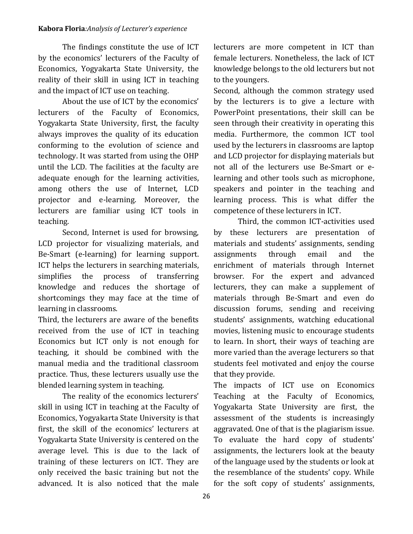#### **Kabora Floria***:Analysis of Lecturer's experience*

The findings constitute the use of ICT by the economics' lecturers of the Faculty of Economics, Yogyakarta State University, the reality of their skill in using ICT in teaching and the impact of ICT use on teaching.

About the use of ICT by the economics' lecturers of the Faculty of Economics, Yogyakarta State University, first, the faculty always improves the quality of its education conforming to the evolution of science and technology. It was started from using the OHP until the LCD. The facilities at the faculty are adequate enough for the learning activities, among others the use of Internet, LCD projector and e-learning. Moreover, the lecturers are familiar using ICT tools in teaching.

Second, Internet is used for browsing, LCD projector for visualizing materials, and Be-Smart (e-learning) for learning support. ICT helps the lecturers in searching materials, simplifies the process of transferring knowledge and reduces the shortage of shortcomings they may face at the time of learning in classrooms.

Third, the lecturers are aware of the benefits received from the use of ICT in teaching Economics but ICT only is not enough for teaching, it should be combined with the manual media and the traditional classroom practice. Thus, these lecturers usually use the blended learning system in teaching.

The reality of the economics lecturers' skill in using ICT in teaching at the Faculty of Economics, Yogyakarta State University is that first, the skill of the economics' lecturers at Yogyakarta State University is centered on the average level. This is due to the lack of training of these lecturers on ICT. They are only received the basic training but not the advanced. It is also noticed that the male

lecturers are more competent in ICT than female lecturers. Nonetheless, the lack of ICT knowledge belongs to the old lecturers but not to the youngers.

Second, although the common strategy used by the lecturers is to give a lecture with PowerPoint presentations, their skill can be seen through their creativity in operating this media. Furthermore, the common ICT tool used by the lecturers in classrooms are laptop and LCD projector for displaying materials but not all of the lecturers use Be-Smart or elearning and other tools such as microphone, speakers and pointer in the teaching and learning process. This is what differ the competence of these lecturers in ICT.

Third, the common ICT-activities used by these lecturers are presentation of materials and students' assignments, sending assignments through email and the enrichment of materials through Internet browser. For the expert and advanced lecturers, they can make a supplement of materials through Be-Smart and even do discussion forums, sending and receiving students' assignments, watching educational movies, listening music to encourage students to learn. In short, their ways of teaching are more varied than the average lecturers so that students feel motivated and enjoy the course that they provide.

The impacts of ICT use on Economics Teaching at the Faculty of Economics, Yogyakarta State University are first, the assessment of the students is increasingly aggravated. One of that is the plagiarism issue. To evaluate the hard copy of students' assignments, the lecturers look at the beauty of the language used by the students or look at the resemblance of the students' copy. While for the soft copy of students' assignments,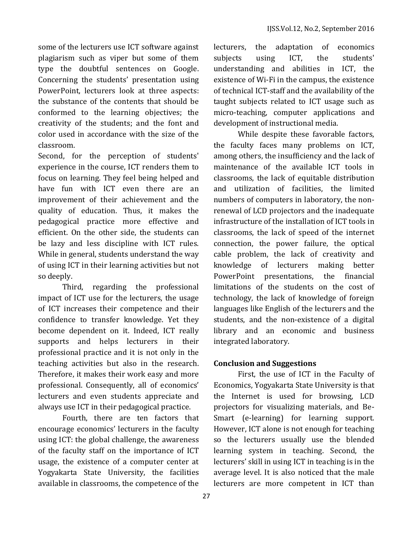some of the lecturers use ICT software against plagiarism such as viper but some of them type the doubtful sentences on Google. Concerning the students' presentation using PowerPoint, lecturers look at three aspects: the substance of the contents that should be conformed to the learning objectives; the creativity of the students; and the font and color used in accordance with the size of the classroom.

Second, for the perception of students' experience in the course, ICT renders them to focus on learning. They feel being helped and have fun with ICT even there are an improvement of their achievement and the quality of education. Thus, it makes the pedagogical practice more effective and efficient. On the other side, the students can be lazy and less discipline with ICT rules. While in general, students understand the way of using ICT in their learning activities but not so deeply.

Third, regarding the professional impact of ICT use for the lecturers, the usage of ICT increases their competence and their confidence to transfer knowledge. Yet they become dependent on it. Indeed, ICT really supports and helps lecturers in their professional practice and it is not only in the teaching activities but also in the research. Therefore, it makes their work easy and more professional. Consequently, all of economics' lecturers and even students appreciate and always use ICT in their pedagogical practice.

Fourth, there are ten factors that encourage economics' lecturers in the faculty using ICT: the global challenge, the awareness of the faculty staff on the importance of ICT usage, the existence of a computer center at Yogyakarta State University, the facilities available in classrooms, the competence of the

lecturers, the adaptation of economics subjects using ICT, the students' understanding and abilities in ICT, the existence of Wi-Fi in the campus, the existence of technical ICT-staff and the availability of the taught subjects related to ICT usage such as micro-teaching, computer applications and development of instructional media.

While despite these favorable factors, the faculty faces many problems on ICT, among others, the insufficiency and the lack of maintenance of the available ICT tools in classrooms, the lack of equitable distribution and utilization of facilities, the limited numbers of computers in laboratory, the nonrenewal of LCD projectors and the inadequate infrastructure of the installation of ICT tools in classrooms, the lack of speed of the internet connection, the power failure, the optical cable problem, the lack of creativity and knowledge of lecturers making better PowerPoint presentations, the financial limitations of the students on the cost of technology, the lack of knowledge of foreign languages like English of the lecturers and the students, and the non-existence of a digital library and an economic and business integrated laboratory.

## **Conclusion and Suggestions**

First, the use of ICT in the Faculty of Economics, Yogyakarta State University is that the Internet is used for browsing, LCD projectors for visualizing materials, and Be-Smart (e-learning) for learning support. However, ICT alone is not enough for teaching so the lecturers usually use the blended learning system in teaching. Second, the lecturers' skill in using ICT in teaching is in the average level. It is also noticed that the male lecturers are more competent in ICT than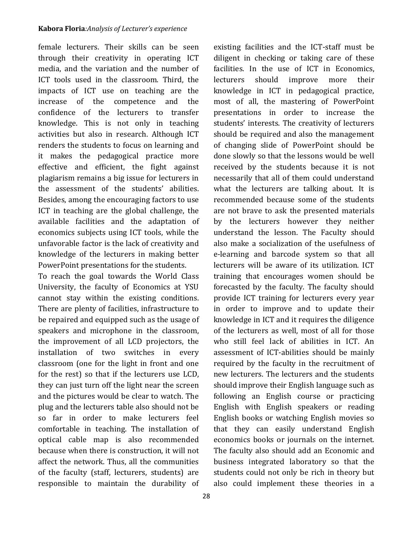female lecturers. Their skills can be seen through their creativity in operating ICT media, and the variation and the number of ICT tools used in the classroom. Third, the impacts of ICT use on teaching are the increase of the competence and the confidence of the lecturers to transfer knowledge. This is not only in teaching activities but also in research. Although ICT renders the students to focus on learning and it makes the pedagogical practice more effective and efficient, the fight against plagiarism remains a big issue for lecturers in the assessment of the students' abilities. Besides, among the encouraging factors to use ICT in teaching are the global challenge, the available facilities and the adaptation of economics subjects using ICT tools, while the unfavorable factor is the lack of creativity and knowledge of the lecturers in making better PowerPoint presentations for the students.

To reach the goal towards the World Class University, the faculty of Economics at YSU cannot stay within the existing conditions. There are plenty of facilities, infrastructure to be repaired and equipped such as the usage of speakers and microphone in the classroom, the improvement of all LCD projectors, the installation of two switches in every classroom (one for the light in front and one for the rest) so that if the lecturers use LCD, they can just turn off the light near the screen and the pictures would be clear to watch. The plug and the lecturers table also should not be so far in order to make lecturers feel comfortable in teaching. The installation of optical cable map is also recommended because when there is construction, it will not affect the network. Thus, all the communities of the faculty (staff, lecturers, students) are responsible to maintain the durability of existing facilities and the ICT-staff must be diligent in checking or taking care of these facilities. In the use of ICT in Economics, lecturers should improve more their knowledge in ICT in pedagogical practice, most of all, the mastering of PowerPoint presentations in order to increase the students' interests. The creativity of lecturers should be required and also the management of changing slide of PowerPoint should be done slowly so that the lessons would be well received by the students because it is not necessarily that all of them could understand what the lecturers are talking about. It is recommended because some of the students are not brave to ask the presented materials by the lecturers however they neither understand the lesson. The Faculty should also make a socialization of the usefulness of e-learning and barcode system so that all lecturers will be aware of its utilization. ICT training that encourages women should be forecasted by the faculty. The faculty should provide ICT training for lecturers every year in order to improve and to update their knowledge in ICT and it requires the diligence of the lecturers as well, most of all for those who still feel lack of abilities in ICT. An assessment of ICT-abilities should be mainly required by the faculty in the recruitment of new lecturers. The lecturers and the students should improve their English language such as following an English course or practicing English with English speakers or reading English books or watching English movies so that they can easily understand English economics books or journals on the internet. The faculty also should add an Economic and business integrated laboratory so that the students could not only be rich in theory but also could implement these theories in a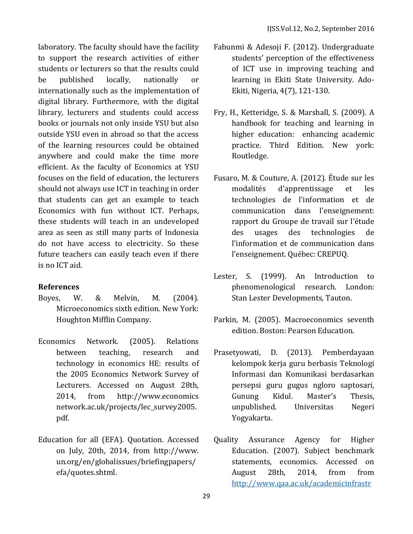laboratory. The faculty should have the facility to support the research activities of either students or lecturers so that the results could be published locally, nationally or internationally such as the implementation of digital library. Furthermore, with the digital library, lecturers and students could access books or journals not only inside YSU but also outside YSU even in abroad so that the access of the learning resources could be obtained anywhere and could make the time more efficient. As the faculty of Economics at YSU focuses on the field of education, the lecturers should not always use ICT in teaching in order that students can get an example to teach Economics with fun without ICT. Perhaps, these students will teach in an undeveloped area as seen as still many parts of Indonesia do not have access to electricity. So these future teachers can easily teach even if there is no ICT aid.

### **References**

- Boyes, W. & Melvin, M. (2004). Microeconomics sixth edition. New York: Houghton Mifflin Company.
- Economics Network. (2005). Relations between teaching, research and technology in economics HE: results of the 2005 Economics Network Survey of Lecturers. Accessed on August 28th, 2014, from http://www.economics network.ac.uk/projects/lec\_survey2005. pdf.
- Education for all (EFA). Quotation. Accessed on July, 20th, 2014, from http://www. un.org/en/globalissues/briefingpapers/ efa/quotes.shtml.
- Fabunmi & Adesoji F. (2012). Undergraduate students' perception of the effectiveness of ICT use in improving teaching and learning in Ekiti State University. Ado-Ekiti, Nigeria, 4(7), 121-130.
- Fry, H., Ketteridge, S. & Marshall, S. (2009). A handbook for teaching and learning in higher education: enhancing academic practice. Third Edition. New york: Routledge.
- Fusaro, M. & Couture, A. (2012). Étude sur les modalités d'apprentissage et les technologies de l'information et de communication dans l'enseignement: rapport du Groupe de travail sur l'étude des usages des technologies de l'information et de communication dans l'enseignement. Québec: CREPUQ.
- Lester, S. (1999). An Introduction to phenomenological research. London: Stan Lester Developments, Tauton.
- Parkin, M. (2005). Macroeconomics seventh edition. Boston: Pearson Education.
- Prasetyowati, D. (2013). Pemberdayaan kelompok kerja guru berbasis Teknologi Informasi dan Komunikasi berdasarkan persepsi guru gugus ngloro saptosari, Gunung Kidul. Master's Thesis, unpublished. Universitas Negeri Yogyakarta.
- Quality Assurance Agency for Higher Education. (2007). Subject benchmark statements, economics. Accessed on August 28th, 2014, from from [http://www.qaa.ac.uk/academicinfrastr](http://www.qaa.ac.uk/academicinfrastructure/benchmark/statements/Economics.asp#p7)